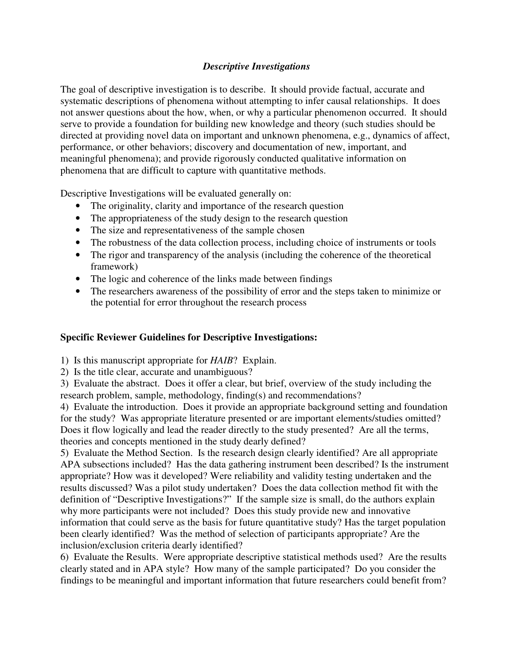## *Descriptive Investigations*

The goal of descriptive investigation is to describe. It should provide factual, accurate and systematic descriptions of phenomena without attempting to infer causal relationships. It does not answer questions about the how, when, or why a particular phenomenon occurred. It should serve to provide a foundation for building new knowledge and theory (such studies should be directed at providing novel data on important and unknown phenomena, e.g., dynamics of affect, performance, or other behaviors; discovery and documentation of new, important, and meaningful phenomena); and provide rigorously conducted qualitative information on phenomena that are difficult to capture with quantitative methods.

Descriptive Investigations will be evaluated generally on:

- The originality, clarity and importance of the research question
- The appropriateness of the study design to the research question
- The size and representativeness of the sample chosen
- The robustness of the data collection process, including choice of instruments or tools
- The rigor and transparency of the analysis (including the coherence of the theoretical framework)
- The logic and coherence of the links made between findings
- The researchers awareness of the possibility of error and the steps taken to minimize or the potential for error throughout the research process

## **Specific Reviewer Guidelines for Descriptive Investigations:**

1) Is this manuscript appropriate for *HAIB*? Explain.

2) Is the title clear, accurate and unambiguous?

3) Evaluate the abstract. Does it offer a clear, but brief, overview of the study including the research problem, sample, methodology, finding(s) and recommendations?

4) Evaluate the introduction. Does it provide an appropriate background setting and foundation for the study? Was appropriate literature presented or are important elements/studies omitted? Does it flow logically and lead the reader directly to the study presented? Are all the terms, theories and concepts mentioned in the study dearly defined?

5) Evaluate the Method Section. Is the research design clearly identified? Are all appropriate APA subsections included? Has the data gathering instrument been described? Is the instrument appropriate? How was it developed? Were reliability and validity testing undertaken and the results discussed? Was a pilot study undertaken? Does the data collection method fit with the definition of "Descriptive Investigations?" If the sample size is small, do the authors explain why more participants were not included? Does this study provide new and innovative information that could serve as the basis for future quantitative study? Has the target population been clearly identified? Was the method of selection of participants appropriate? Are the inclusion/exclusion criteria dearly identified?

6) Evaluate the Results. Were appropriate descriptive statistical methods used? Are the results clearly stated and in APA style? How many of the sample participated? Do you consider the findings to be meaningful and important information that future researchers could benefit from?